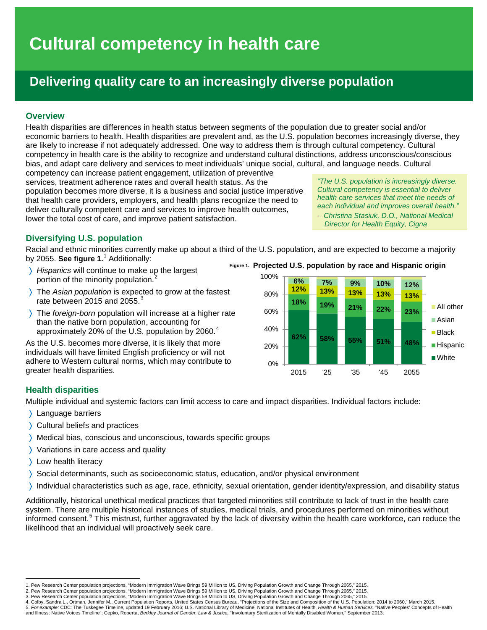# **Cultural competency in health care**

# **Delivering quality care to an increasingly diverse population**

# **Overview**

Health disparities are differences in health status between segments of the population due to greater social and/or economic barriers to health. Health disparities are prevalent and, as the U.S. population becomes increasingly diverse, they are likely to increase if not adequately addressed. One way to address them is through cultural competency. Cultural competency in health care is the ability to recognize and understand cultural distinctions, address unconscious/conscious bias, and adapt care delivery and services to meet individuals' unique social, cultural, and language needs. Cultural

competency can increase patient engagement, utilization of preventive services, treatment adherence rates and overall health status. As the population becomes more diverse, it is a business and social justice imperative that health care providers, employers, and health plans recognize the need to deliver culturally competent care and services to improve health outcomes, lower the total cost of care, and improve patient satisfaction.

*"The U.S. population is increasingly diverse. Cultural competency is essential to deliver health care services that meet the needs of each individual and improves overall health."*

*- Christina Stasiuk, D.O., National Medical Director for Health Equity, Cigna*

# **Diversifying U.S. population**

Racial and ethnic minorities currently make up about a third of the U.S. population, and are expected to become a majority by 2055. **See figure 1.**[1](#page-0-0) Additionally:

- 〉 *Hispanics* will continue to make up the largest portion of the minority population. [2](#page-0-1)
- 〉 The *Asian population* is expected to grow at the fastest rate between 2015 and 2055. $3$
- 〉 The *foreign-born* population will increase at a higher rate than the native born population, accounting for approximately 20% of the U.S. population by 2060. [4](#page-0-3)

As the U.S. becomes more diverse, it is likely that more individuals will have limited English proficiency or will not adhere to Western cultural norms, which may contribute to greater health disparities.

**Projected U.S. population by race and Hispanic origin Figure 1.**



# **Health disparities**

Multiple individual and systemic factors can limit access to care and impact disparities. Individual factors include:

- 〉 Language barriers
- 〉 Cultural beliefs and practices
- 〉 Medical bias, conscious and unconscious, towards specific groups
- 〉 Variations in care access and quality
- 〉 Low health literacy
- 〉 Social determinants, such as socioeconomic status, education, and/or physical environment
- 〉 Individual characteristics such as age, race, ethnicity, sexual orientation, gender identity/expression, and disability status

Additionally, historical unethical medical practices that targeted minorities still contribute to lack of trust in the health care system. There are multiple historical instances of studies, medical trials, and procedures performed on minorities without informed consent.<sup>[5](#page-0-4)</sup> This mistrust, further aggravated by the lack of diversity within the health care workforce, can reduce the likelihood that an individual will proactively seek care.

<sup>.&</sup>lt;br>1. Pew Research Center population projections, "Modern Immigration Wave Brings 59 Million to US, Driving Population Growth and Change Through 2065," 2015.<br>2. Pew Research Center population projections, "Modern Immigratio

<span id="page-0-1"></span><span id="page-0-0"></span>

<span id="page-0-3"></span><span id="page-0-2"></span><sup>3.</sup> Pew Research Center population projections, "Modern Immigration Wave Brings 59 Million to US, Driving Population Growth and Change Through 2065," 2015.

<span id="page-0-4"></span><sup>4.</sup> Colby, Sandra L., Ortman, Jennifer M., Current Population Reports, United States Census Bureau, "Projections of the Size and Composition of the U.S. Population: 2014 to 2060," March 2015.<br>5. *For example:* CDC: The Tusk and Illness: Native Voices Timeline"; Cepko, Roberta, *Berkley Journal of Gender, Law & Justice,* "Involuntary Sterilization of Mentally Disabled Women," September 2013.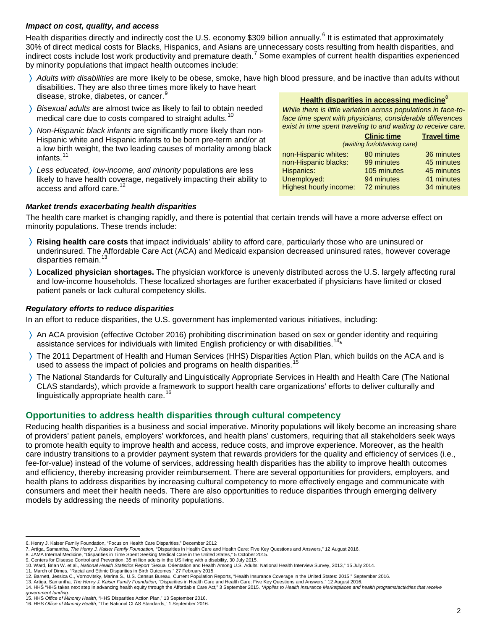#### *Impact on cost, quality, and access*

Health disparities directly and indirectly cost the U.S. economy \$309 billion annually.<sup>[6](#page-1-0)</sup> It is estimated that approximately 30% of direct medical costs for Blacks, Hispanics, and Asians are unnecessary costs resulting from health disparities, and indirect costs include lost work productivity and premature death.<sup>[7](#page-1-1)</sup> Some examples of current health disparities experienced by minority populations that impact health outcomes include:

- 〉 *Adults with disabilities* are more likely to be obese, smoke, have high blood pressure, and be inactive than adults without disabilities. They are also three times more likely to have heart disease, stroke, diabetes, or cancer.
- 〉 *Bisexual adults* are almost twice as likely to fail to obtain needed medical care due to costs compared to straight adults.<sup>[10](#page-1-4)</sup>
- 〉 *Non-Hispanic black infants* are significantly more likely than non-Hispanic white and Hispanic infants to be born pre-term and/or at a low birth weight, the two leading causes of mortality among black infants. [11](#page-1-5)
- 〉 *Less educated, low-income, and minority* populations are less likely to have health coverage, negatively impacting their ability to access and afford care.<sup>[12](#page-1-6)</sup>

#### *Market trends exacerbating health disparities*

**Health disparities in accessing medicine**<sup>8</sup>

*While there is little variation across populations in face-toface time spent with physicians, considerable differences exist in time spent traveling to and waiting to receive care.*

|                               | <b>Clinic time</b> | <b>Travel time</b> |
|-------------------------------|--------------------|--------------------|
| (waiting for/obtaining care)  |                    |                    |
| non-Hispanic whites:          | 80 minutes         | 36 minutes         |
| non-Hispanic blacks:          | 99 minutes         | 45 minutes         |
| Hispanics:                    | 105 minutes        | 45 minutes         |
| Unemployed:                   | 94 minutes         | 41 minutes         |
| <b>Highest hourly income:</b> | 72 minutes         | 34 minutes         |

The health care market is changing rapidly, and there is potential that certain trends will have a more adverse effect on minority populations. These trends include:

- 〉 **Rising health care costs** that impact individuals' ability to afford care, particularly those who are uninsured or underinsured. The Affordable Care Act (ACA) and Medicaid expansion decreased uninsured rates, however coverage disparities remain.<sup>[13](#page-1-7)</sup>
- 〉 **Localized physician shortages.** The physician workforce is unevenly distributed across the U.S. largely affecting rural and low-income households. These localized shortages are further exacerbated if physicians have limited or closed patient panels or lack cultural competency skills.

# *Regulatory efforts to reduce disparities*

In an effort to reduce disparities, the U.S. government has implemented various initiatives, including:

- 〉 An ACA provision (effective October 2016) prohibiting discrimination based on sex or gender identity and requiring assistance services for individuals with limited English proficiency or with disabilities.
- 〉 The 2011 Department of Health and Human Services (HHS) Disparities Action Plan, which builds on the ACA and is used to assess the impact of policies and programs on health disparities.<sup>[15](#page-1-9)</sup>
- 〉 The National Standards for Culturally and Linguistically Appropriate Services in Health and Health Care (The National CLAS standards), which provide a framework to support health care organizations' efforts to deliver culturally and linguistically appropriate health care.<sup>[16](#page-1-10)</sup>

# **Opportunities to address health disparities through cultural competency**

Reducing health disparities is a business and social imperative. Minority populations will likely become an increasing share of providers' patient panels, employers' workforces, and health plans' customers, requiring that all stakeholders seek ways to promote health equity to improve health and access, reduce costs, and improve experience. Moreover, as the health care industry transitions to a provider payment system that rewards providers for the quality and efficiency of services (i.e., fee-for-value) instead of the volume of services, addressing health disparities has the ability to improve health outcomes and efficiency, thereby increasing provider reimbursement. There are several opportunities for providers, employers, and health plans to address disparities by increasing cultural competency to more effectively engage and communicate with consumers and meet their health needs. There are also opportunities to reduce disparities through emerging delivery models by addressing the needs of minority populations.

 $\overline{a}$ 6. Henry J. Kaiser Family Foundation, "Focus on Health Care Disparities," December 2012

<span id="page-1-2"></span><span id="page-1-1"></span><span id="page-1-0"></span><sup>7.</sup> Artiga, Samantha, *The Henry J. Kaiser Family Foundation,* "Disparities in Health Care and Health Care: Five Key Questions and Answers," 12 August 2016.<br>8. JAMA Internal Medicine, "Disparities in Time Spent Seeking Medi

<sup>9.</sup> Centers for Disease Control and Prevention: 35 million adults in the US living with a disability, 30 July 2015.

<span id="page-1-4"></span><span id="page-1-3"></span><sup>10.</sup> Ward, Brian W. et al., *National Health Statistics Report* "Sexual Orientation and Health Among U.S. Adults: National Health Interview Survey, 2013," 15 July 2014. 11. March of Dimes, "Racial and Ethnic Disparities in Birth Outcomes," 27 February 2015.

<span id="page-1-6"></span><span id="page-1-5"></span>

<span id="page-1-7"></span><sup>12.</sup> Barnett, Jessica C., Vornovitsky, Marina S., U.S. Census Bureau, Current Population Reports, "Health Insurance Coverage in the United States: 2015," September 2016.<br>13. Artiga, Samantha, *The Henry J. Kaiser Family Fou* 

<span id="page-1-8"></span><sup>14.</sup> HHS "HHS takes next step in advancing health equity through the Affordable Care Act," 3 September 2015. *\*Applies to Health Insurance Marketplaces and health programs/activities that receive* 

*government funding.*<br>15. HHS *Office of Minority Health*, "HHS Disparities Action Plan," 13 September 2016.<br>16. HHS *Office of Minority Health*, "The National CLAS Standards," 1 September 2016.

<span id="page-1-10"></span><span id="page-1-9"></span>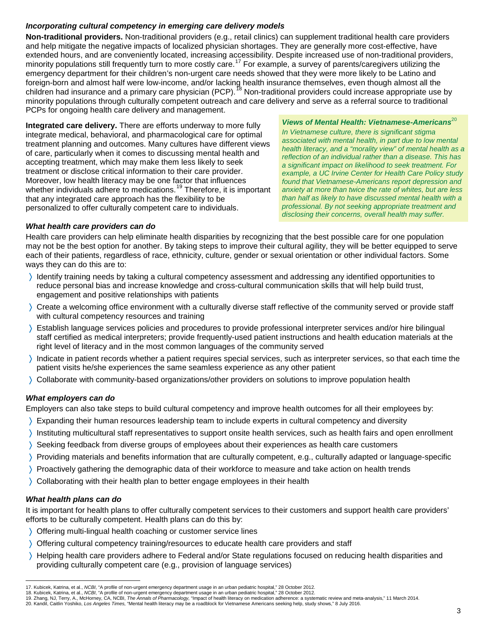# *Incorporating cultural competency in emerging care delivery models*

**Non-traditional providers.** Non-traditional providers (e.g., retail clinics) can supplement traditional health care providers and help mitigate the negative impacts of localized physician shortages. They are generally more cost-effective, have extended hours, and are conveniently located, increasing accessibility. Despite increased use of non-traditional providers, minority populations still frequently turn to more costly care.<sup>[17](#page-2-0)</sup> For example, a survey of parents/caregivers utilizing the emergency department for their children's non-urgent care needs showed that they were more likely to be Latino and foreign-born and almost half were low-income, and/or lacking health insurance themselves, even though almost all the children had insurance and a primary care physician (PCP). <sup>78</sup> Non-traditional providers could increase appropriate use by minority populations through culturally competent outreach and care delivery and serve as a referral source to traditional PCPs for ongoing health care delivery and management.

**Integrated care delivery.** There are efforts underway to more fully integrate medical, behavioral, and pharmacological care for optimal treatment planning and outcomes. Many cultures have different views of care, particularly when it comes to discussing mental health and accepting treatment, which may make them less likely to seek treatment or disclose critical information to their care provider. Moreover, low health literacy may be one factor that influences whether individuals adhere to medications.<sup>[19](#page-2-2)</sup> Therefore, it is important that any integrated care approach has the flexibility to be personalized to offer culturally competent care to individuals.

*Views of Mental Health: Vietnamese-Americans*<sup>20</sup> *In Vietnamese culture, there is significant stigma associated with mental health, in part due to low mental health literacy, and a "morality view" of mental health as a reflection of an individual rather than a disease. This has a significant impact on likelihood to seek treatment. For example, a UC Irvine Center for Health Care Policy study found that Vietnamese-Americans report depression and anxiety at more than twice the rate of whites, but are less than half as likely to have discussed mental health with a professional. By not seeking appropriate treatment and disclosing their concerns, overall health may suffer.*

#### *What health care providers can do*

Health care providers can help eliminate health disparities by recognizing that the best possible care for one population may not be the best option for another. By taking steps to improve their cultural agility, they will be better equipped to serve each of their patients, regardless of race, ethnicity, culture, gender or sexual orientation or other individual factors. Some ways they can do this are to:

- 〉 Identify training needs by taking a cultural competency assessment and addressing any identified opportunities to reduce personal bias and increase knowledge and cross-cultural communication skills that will help build trust, engagement and positive relationships with patients
- 〉 Create a welcoming office environment with a culturally diverse staff reflective of the community served or provide staff with cultural competency resources and training
- 〉 Establish language services policies and procedures to provide professional interpreter services and/or hire bilingual staff certified as medical interpreters; provide frequently-used patient instructions and health education materials at the right level of literacy and in the most common languages of the community served
- 〉 Indicate in patient records whether a patient requires special services, such as interpreter services, so that each time the patient visits he/she experiences the same seamless experience as any other patient
- 〉 Collaborate with community-based organizations/other providers on solutions to improve population health

## *What employers can do*

Employers can also take steps to build cultural competency and improve health outcomes for all their employees by:

- 〉 Expanding their human resources leadership team to include experts in cultural competency and diversity
- 〉 Instituting multicultural staff representatives to support onsite health services, such as health fairs and open enrollment
- 〉 Seeking feedback from diverse groups of employees about their experiences as health care customers
- 〉 Providing materials and benefits information that are culturally competent, e.g., culturally adapted or language-specific
- 〉 Proactively gathering the demographic data of their workforce to measure and take action on health trends
- 〉 Collaborating with their health plan to better engage employees in their health

## *What health plans can do*

It is important for health plans to offer culturally competent services to their customers and support health care providers' efforts to be culturally competent. Health plans can do this by:

- 〉 Offering multi-lingual health coaching or customer service lines
- 〉 Offering cultural competency training/resources to educate health care providers and staff
- 〉 Helping health care providers adhere to Federal and/or State regulations focused on reducing health disparities and providing culturally competent care (e.g., provision of language services)

 $\overline{a}$ 17. Kubicek, Katrina, et al., *NCBI*, "A profile of non-urgent emergency department usage in an urban pediatric hospital," 28 October 2012.

<span id="page-2-2"></span><span id="page-2-1"></span><span id="page-2-0"></span>

<sup>18.</sup> Kubicek, Katrina, et al., *NCBI,* "A profile of non-urgent emergency department usage in an urban pediatric hospital," 28 October 2012.<br>19. Zhang, NJ, Terry, A., McHorney, CA, NCBI, *The Annals of Pharmacology,* "Impac

<span id="page-2-3"></span><sup>20.</sup> Kandil, Caitlin Yoshiko, *Los Angeles Times,* "Mental health literacy may be a roadblock for Vietnamese Americans seeking help, study shows," 8 July 2016.